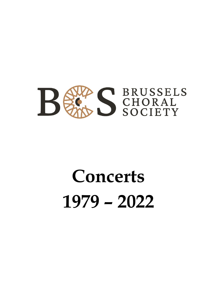

# **Concerts 1979 – 2022**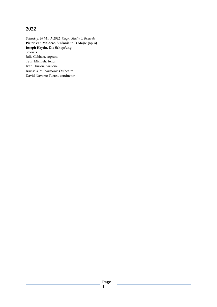*Saturday, 26 March 2022, Flagey Studio 4, Brussels* **Pieter Van Maldere, Sinfonia in D Major (op. 5) Joseph Haydn, Die Schöpfung** Soloists: Julie Gebhart, soprano Teun Michiels, tenor Ivan Thirion, baritone Brussels Philharmonic Orchestra David Navarro Turres, conductor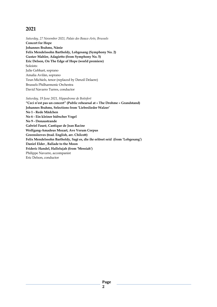*Saturday, 27 November 2021, Palais des Beaux-Arts, Brussels* **Concert for Hope Johannes Brahms, Nänie Felix Mendelssohn Bartholdy, Lobgesang (Symphony No. 2) Gustav Mahler, Adagietto (from Symphony No. 5) Eric Delson, On The Edge of Hope (world premiere)** Soloists: Julie Gebhart, soprano Amalia Avilàn, soprano Teun Michiels, tenor (replaced by Denzil Delaere) Brussels Philharmonic Orchestra David Navarro Turres, conductor

*Saturday, 19 June 2021, Hippodrome de Boitsfort*

**"Ceci n'est pas un concert" (Public rehearsal at « The Drohme » Grandstand) Johannes Brahms, Selections from 'Liebeslieder Walzer' No 1 - Rede Mädchen No 6 - Ein kleiner hübscher Vogel No 9 - Donaustrande Gabriel Fauré, Cantique de Jean Racine Wolfgang-Amadeus Mozart, Ave Verum Corpus Greensleeves (trad. English, arr. Chilcott) Felix Mendelssohn Bartholdy, Sagt es, die ihr erlöset seid (from 'Lobgesang') Daniel Elder , Ballade to the Moon Frideric Handel, Hallelujah (from 'Messiah')** Philippe Navarre, accompanist Eric Delson, conductor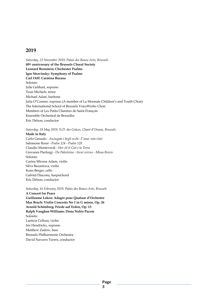*Saturday, 23 November 2019, Palais des Beaux-Arts, Brussels* **40th anniversary of the Brussels Choral Society Leonard Bernstein: Chichester Psalms Igor Stravinsky: Symphony of Psalms Carl Orff: Carmina Burana** Soloists: Julie Gebhart, soprano Teun Michiels, tenor Michael Adair, baritone Julia O'Connor, soprano (A member of La Monnaie Children's and Youth Choir) The International School of Brussels VoiceWorks Choir Members of Les Petits Chantres de Saint-François Ensemble Orchestral de Bruxelles Eric Delson, conductor

*Saturday, 18 May 2019, N.D. des Grâces, Chant d'Oiseau, Brussels*

#### **Made in Italy**

Carlo Gesualo - *Asciugate i begli occhi* -*T'amo, mia vita!* Salomone Rossi - *Psalm 124* - *Psalm 128* Claudio Monteverdi - *Hor ch'el Ciel e la Terra* Giovanni Pierluigi - *Da Palestrina* - *Sicut cervus* - *Missa Brevis* Soloists: Carina Miruna Adam, violin Silva Bazantova, violin Koen Berger, cello Gabriel Diaconu, harpsichord Eric Delson, conductor

*Saturday, 16 February 2019, Palais des Beaux-Arts, Brussels*

**A Concert for Peace Guillaume Lekeu: Adagio pour Quatuor d'Orchestre Max Bruch: Violin Concerto No 1 in G minor, Op. 26 Arnold Schönberg: Friede auf Erden, Op. 13 Ralph Vaughan Williams: Dona Nobis Pacem** Soloists: Laeticia Cellura, violin Iris Hendrickx, soprano Matthew Zadow, bass Brussels Philharmonic Orchestra David Navarro Turres, conductor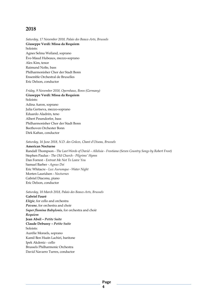*Saturday, 17 November 2018, Palais des Beaux-Arts, Brussels* **Giuseppe Verdi: Missa da Requiem** Soloists: Agnes Selma Weiland, soprano Ève-Maud Hubeaux, mezzo-soprano Alex Kim, tenor Raimund Nolte, bass Philharmonisher Chor der Stadt Bonn Ensemble Orchestral de Bruxelles Eric Delson, conductor

*Friday, 9 November 2018, Opernhaus, Bonn (Germany)* **Giuseppe Verdi: Missa da Requiem** Soloists: Adina Aaron, soprano Julia Gertseva, mezzo-soprano Eduardo Aladrén, teno Albert Pesendorfer, bass Philharmonisher Chor der Stadt Bonn Beethoven Orchester Bonn Dirk Kaftan, conductor

#### *Saturday, 16 June 2018, N.D. des Grâces, Chant d'Oiseau, Brussels*

**American Nocturne** Randall Thompson - *The Last Words of David – Alleluia - Frostiana (Seven Country Songs by Robert Frost)* Stephen Paulus - *The Old Church - Pilgrims' Hymn* Dan Forrest - *Entreat Me Not To Leave You* Samuel Barber - *Agnus Dei* Eric Whitacre - *Lux Aurumque - Water Night* Morten Lauridsen - *Nocturnes* Gabriel Diaconu, piano Eric Delson, conductor

*Saturday, 10 March 2018, Palais des Beaux-Arts, Brussels* **Gabriel Fauré** *Elégie*, for cello and orchestra *Pavane*, for orchestra and choir *Super flumina Babylonis*, for orchestra and choir *Requiem* **Jean Absil –** *Petite Suite* **Claude Debussy –** *Petite Suite* Soloists: Aurélie Moreels, soprano Kamil Ben Hsaïn Lachiri, baritone Ipek Akdeniz - cello Brussels Philharmonic Orchestra David Navarro Turres, conductor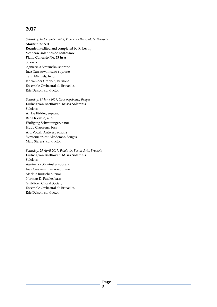*Saturday, 16 December 2017, Palais des Beaux-Arts, Brussels* **Mozart Concert Requiem** (edited and completed by R. Levin) **Vesperae solennes de confessore Piano Concerto No. 23 in A**  Soloists: Agnieszka Sławińska, soprano Inez Carsauw, mezzo-soprano Teun Michiels, tenor Jan van der Crabben, baritone Ensemble Orchestral de Bruxelles Eric Delson, conductor

*Saturday, 17 June 2017, Concertgebouw, Bruges* **Ludwig van Beethoven: Missa Solemnis** Soloists: An De Ridder, soprano Rena Kleifeld, alto Wolfgang Schwaninger, tenor Huub Claessens, bass Arti Vocali, Antwerp (choir) Symfonieorkest Akademos, Bruges Marc Sierens, conductor

*Saturday, 29 April 2017, Palais des Beaux-Arts, Brussels* **Ludwig van Beethoven: Missa Solemnis** Soloists: Agnieszka Sławińska, soprano Inez Carsauw, mezzo-soprano Markus Brutscher, tenor Norman D. Patzke, bass Guildford Choral Society Ensemble Orchestral de Bruxelles Eric Delson, conductor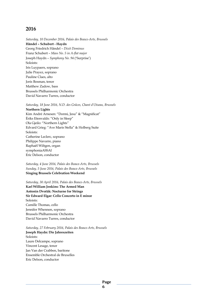*Saturday, 10 December 2016, Palais des Beaux-Arts, Brussels* **Händel – Schubert - Haydn** Georg Friedrich Händel – *Dixit Dominus* Franz Schubert – *Mass No. 5 in A-flat major* Joseph Haydn – *Symphony No. 94* ('Surprise') Soloists: Iris Luypaers, soprano Julie Prayez, soprano Pauline Claes, alto Joris Bosman, tenor Matthew Zadow, bass Brussels Philharmonic Orchestra David Navarro Turres, conductor

*Saturday, 18 June 2016, N.D. des Grâces, Chant d'Oiseau, Brussels* **Northern Lights** Kim André Arnesen: "Dormi, Jesu" & "Magnificat" Ēriks Ešenvalds: "Only in Sleep" Ola Gjeilo: "Northern Lights" Edvard Grieg: "Ave Maris Stella" & Holberg Suite Soloists: Catherine Leclerc, soprano Philippe Navarre, piano Raphaël Wiltgen, organ symphoniaASSAI Eric Delson, conductor

*Saturday, 4 June 2016, Palais des Beaux-Arts, Brussels Sunday, 5 June 2016, Palais des Beaux-Arts, Brussels* **Singing Brussels Celebration Weekend**

*Saturday, 30 April 2016, Palais des Beaux-Arts, Brussels* **Karl William Jenkins: The Armed Man Antonin Dvořák: Nocturne for Strings Sir Edward Elgar: Cello Concerto in E minor** Soloists: Camille Thomas, cello Jennifer Whennen, soprano Brussels Philharmonic Orchestra David Navarro Turres, conductor

*Saturday, 27 February 2016, Palais des Beaux-Arts, Brussels*

**Joseph Haydn: Die Jahreszeiten** Soloists: Laure Delcampe, soprano Vincent Lesage, tenor Jan Van der Crabben, baritone Ensemble Orchestral de Bruxelles Eric Delson, conductor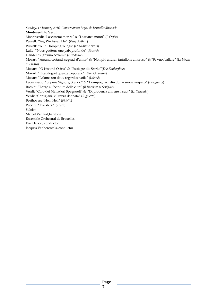*Sunday, 17 January 2016, Conservatoire Royal de Bruxelles,Brussels* **Monteverdi to Verdi** Monteverdi: "Lasciatemi morire" & "Lasciate i monti" (*L'Orfeo*) Purcell: "See, We Assemble" (*King Arthur*) Purcell: "With Drooping Wings" (*Dido and Aeneas*) Lully: "Nous goûtons une paix profonde" (*Psyché*) Handel: "Ogn'uno acclami" (*Ariodante*) Mozart: "Amanti costanti, seguaci d'amor" & "Non più andrai, farfallone amoroso" & "Se vuoi ballare" (*Le Nozze di Figaro*) Mozart: "O Isis und Osiris" & "Es siegte die Stärke"(*Die Zauberflöte*) Mozart: "Il catalogo è questo, Leporello" (*Don Giovanni*) Mozart: "Lakmé, ton doux regard se voile" (*Lakmé*) Leoncavallo: "Si puó? Signore, Signori" & "I zampognari: din don – suona vespero" (*I Pagliacci*) Rossini: "Largo al factotum della città" (*Il Barbiere di Seviglia*) Verdi: "Coro dei Mattadori Spagnuoli" & "Di provenza al mare il suol" (*La Traviata*) Verdi: "Cortigiani, vil razza dannata" (*Rigoletto*) Beethoven: "Heil! Heil" (*Fidelio*) Puccini: "Tre sbirri" (*Tosca*) Soloist: Marcel Vanaud,baritone Ensemble Orchestral de Bruxelles Eric Delson, conductor Jacques Vanherentals, conductor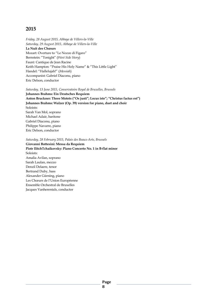*Friday, 28 August 2015, Abbaye de Villers-la-Ville Saturday, 29 August 2015, Abbaye de Villers-la-Ville* **La Nuit des Chœurs** Mozart: Overture to "Le Nozze di Figaro" Bernstein: "Tonight" (*West Side Story*) Fauré: Cantique de Jean Racine Keith Hampton: "Praise His Holy Name" & "This Little Light" Handel: "Hallelujah!" (*Messiah*) Accompanist: Gabriel Diaconu, piano Eric Delson, conductor

#### *Saturday, 13 June 2015, Conservatoire Royal de Bruxelles, Brussels*

**Johannes Brahms: Ein Deutsches Requiem Anton Bruckner: Three Motets ("Os justi"; Locus iste"; "Christus factus est") Johannes Brahms: Walzer (Op. 39) version for piano, duet and choir** Soloists: Sarah Van Mol, soprano Michael Adair, baritone Gabriel Diaconu, piano Philippe Navarre, piano Eric Delson, conductor

*Saturday, 28 February 2015, Palais des Beaux-Arts, Brussels*

**Giovanni Bottesini: Messa da Requiem Piotr IlitchTchaikovsky: Piano Concerto No. 1 in B-flat minor** Soloists: Amalia Avilan, soprano Sarah Laulan, mezzo Denzil Delaere, tenor Bertrand Duby, bass Alexander Gürning, piano Les Chœurs de l'Union Européenne Ensemble Orchestral de Bruxelles Jacques Vanherentals, conductor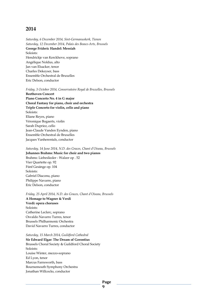*Saturday, 6 December 2014, Sint-Germanuskerk, Tienen Saturday, 12 December 2014, Palais des Beaux-Arts, Brussels* **George Frideric Handel: Messiah** Soloists: Hendrickje van Kerckhove, soprano Angélique Noldus, alto Jan van Elsacker, tenor Charles Dekeyser, bass Ensemble Orchestral de Bruxelles Eric Delson, conductor

#### *Friday, 3 October 2014, Conservatoire Royal de Bruxelles, Brussels*

**Beethoven Concert Piano Concerto No. 4 in G major Choral Fantasy for piano, choir and orchestra Triple Concerto for violin, cello and piano** Soloists: Eliane Reyes, piano Véronique Bogaerts, violin Sarah Dupriez, cello Jean-Claude Vanden Eynden, piano Ensemble Orchestral de Bruxelles Jacques Vanherentals, conductor

*Saturday, 14 June 2014, N.D. des Graces, Chant d'Oiseau, Brussels* **Johannes Brahms: Music for choir and two pianos** Brahms: Liebeslieder - Walzer op . 52 Vier Quartette op. 92 Fünf Gesänge op. 104 Soloists: Gabriel Diaconu, piano Philippe Navarre, piano Eric Delson, conductor

#### *Friday, 25 April 2014, N.D. des Graces, Chant d'Oiseau, Brussels*

**A Homage to Wagner & Verdi Verdi: opera choruses** Soloists: Catherine Leclerc, soprano Osvaldo Navarro Turres, tenor Brussels Philharmonic Orchestra David Navarro Turres, conductor

*Saturday, 15 March 2014, Guildford Cathedral*

**Sir Edward Elgar: The Dream of Gerontius** Brussels Choral Society & Guildford Choral Society Soloists: Louise Winter, mezzo-soprano Ed Lyon, tenor Marcus Farnsworth, bass Bournemouth Symphony Orchestra Jonathan Willcocks, conductor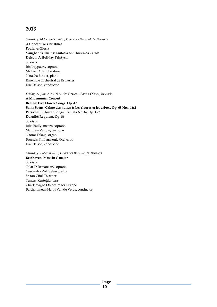*Saturday, 14 December 2013, Palais des Beaux-Arts, Brussels*  **A Concert for Christmas Poulenc: Gloria Vaughan Williams: Fantasia on Christmas Carols Delson: A Holiday Triptych** Soloists: Iris Luypaers, soprano Michael Adair, baritone Natasha Binder, piano Ensemble Orchestral de Bruxelles Eric Delson, conductor

*Friday, 21 June 2013, N.D. des Graces, Chant d'Oiseau, Brussels*

**A Midsummer Concert Britten: Five Flower Songs. Op. 47 Saint-Saëns: Calme des nuites & Les fleures et les arbres. Op. 68 Nos. 1&2 Persichetti: Flower Songs (Cantata No. 6). Op. 157 Duruflé: Requiem. Op. 86** Soloists: Julie Bailly, mezzo-soprano Matthew Zadow, baritone Naomi Takagi, organ Brussels Philharmonic Orchestra Eric Delson, conductor

*Saturday, 2 March 2013, Palais des Beaux-Arts, Brussels*  **Beethoven: Mass in C major** Soloists: Talar Dekrmanjian, soprano Cassandra Zoé Velasco, alto Stefan Cifolelli, tenor Tuncay Kurtoğlu, bass Charlemagne Orchestra for Europe Bartholomeus-Henri Van de Velde, conductor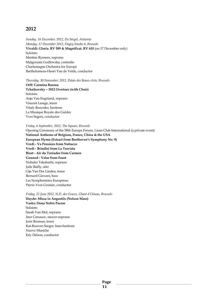*Sunday, 16 December, 2012, De Singel, Antwerp Monday, 17 December 2012, Flagey Studio 4, Brussels* **Vivaldi: Gloria. RV 589 & Magnificat. RV 610** (on 17 December only) Soloists: Martine Ryeners, soprano Malgorzata Godlewska, contralto Charlemagne Orchestra for Europe Bartholomeus-Henri Van de Velde, conductor

*Thursday, 30 November, 2012, Palais des Beaux-Arts, Brussels*

**Orff: Carmina Burana Tchaikovsky – 1812 Overture (with Choir)** Soloists: Anja Van Engeland, soprano Vincent Lesage, tenor Vitaly Rozynko, baritone La Musique Royale des Guides Yves Segers, conductor

*Friday, 6 September, 2012, The Square, Brussels*

Opening Ceremony of the 58th Europa Forum, Lions Club International (a private event) **National Anthems of Belgium, France, China & the USA European Hymn (Extract from Beethoven's Symphony No. 9) Verdi - Va Pensiero from Nabucco Verdi - Brindisi from La Traviata Bizet - Air du Toréador from Carmen Gounod - Valse from Faust** Nobuko Takahashi, soprano Julie Bailly, alto Gijs Van Der Linden, tenor Bernard Giovani, bass Les Symphonistes Européens Pierre-Yves Gronier, conductor

*Friday, 22 June 2012, N.D. des Graces, Chant d'Oiseau, Brussels* 

**Haydn: Missa in Angustiis (Nelson Mass) Vasks: Dona Nobis Pacem** Soloists: Sarah Van Mol, soprano Inez Carsauw, mezzo-soprano Joris Bosman, tenor Kai-Rouven Seeger, bass-baritone Nuove Musiche Eric Delson, conductor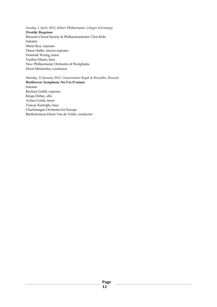*Sunday, 1 April, 2012, Kölner Philharmonie, Cologne (Germany)* **Dvořák: Requiem**  Brussels Choral Society & Philharmonischer Chor Köln Soloists: Maria Ryu, soprano Diana Haller, mezzo-soprano Dominik Wortig, tenor Vasilios Manis, bass New Philharmonic Orchestra of Westphalia Horst Meinardus, conductor

*Monday, 23 January 2012, Conservatoire Royal de Bruxelles, Brussels* **Beethoven: Symphony No 9 in D minor**  Soloists: Reyhan Gorbil, soprano Kinga Dobay, alto Ayhan Ustuk, tenor Tuncay Kurtoğlu, bass Charlemagne Orchestra for Europe Bartholomeus-Henri Van de Velde, conductor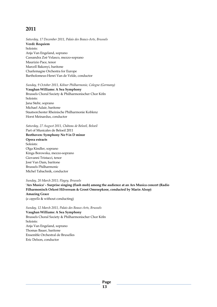*Saturday, 17 December 2011, Palais des Beaux-Arts, Brussels*  **Verdi: Requiem**  Soloists: Anja Van Engeland, soprano Cassandra Zoé Velasco, mezzo-soprano Maurizio Pace, tenor Marcell Bakonyi, baritone Charlemagne Orchestra for Europe Bartholomeus-Henri Van de Velde, conductor

#### *Sunday, 9 October 2011, Kölner Philharmonie, Cologne (Germany)*

**Vaughan Williams: A Sea Symphony** Brussels Choral Society & Philharmonischer Chor Köln Soloists: Jana Stehr, soprano Michael Adair, baritone Staatsorchester Rheinische Philharmonie Koblenz Horst Meinardus, conductor

*Saturday, 27 August 2011, Château de Beloeil, Beloeil*

Part of Musicales de Beloeil 2011 **Beethoven: Symphony No 9 in D minor Opera extracts** Soloists: Olga Kindler, soprano Kinga Borowska, mezzo-soprano Giovanni Tristacci, tenor José Van Dam, baritone Brussels Philharmonic Michel Tabachnik, conductor

#### *Sunday, 20 March 2011; Flagey, Brussels*

**'Ars Musica' - Surprise singing (flash mob) among the audience at an Ars Musica concert (Radio Filharmonisch Orkest Hilversum & Groot Omroepkoor, conducted by Marin Alsop) Amazing Grace** (*a cappella* & without conducting)

*Sunday, 12 March 2011, Palais des Beaux-Arts, Brussels*

**Vaughan Williams: A Sea Symphony** Brussels Choral Society & Philharmonischer Chor Köln Soloists: Anja Van Engeland, soprano Thomas Bauer, baritone Ensemble Orchestral de Bruxelles Eric Delson, conductor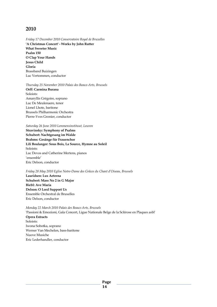*Friday 17 December 2010 Conservatoire Royal de Bruxelles* **'A Christmas Concert' - Works by John Rutter What Sweeter Music Psalm 150 O Clap Your Hands Jesus Child Gloria** Brassband Buizingen Luc Vertommen, conductor

*Thursday 25 November 2010 Palais des Beaux-Arts, Brussels* **Orff: Carmina Burana** Soloists: Amaryllis Grégoire, soprano Luc De Meulenaere, tenor Lionel Lhote, baritone Brussels Philharmonic Orchestra Pierre-Yves Gronier, conductor

*Saturday 26 June 2010 Lemmensinstituut, Leuven*

**Stravinsky: Symphony of Psalms Schubert: Nachtgesang im Walde Brahms: Gesänge für Frauenchor Lili Boulanger: Sous Bois, La Source, Hymne au Soleil** Soloists: Luc Devos and Catherine Mertens, pianos 'ensemble' Eric Delson, conductor

*Friday 28 May 2010 Eglise Notre-Dame des Grâces du Chant d'Oiseau, Brussels* 

**Lauridsen: Lux Aeterna Schubert: Mass No 2 in G Major Biebl: Ave Maria Delson: O Lord Support Us** Ensemble Orchestral de Bruxelles Eric Delson, conductor

*Monday 22 March 2010 Palais des Beaux-Arts, Brussels*

'Passioni & Emozioni, Gala Concert, Ligue Nationale Belge de la Sclérose en Plaques asbl' **Opera Extracts** Soloists: Iwona Sobotka, soprano Werner Van Mechelen, bass-baritone Nuove Musiche Eric Lederhandler, conductor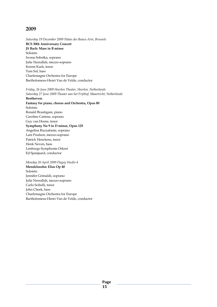*Saturday 19 December 2009 Palais des Beaux-Arts, Brussels*  **BCS 30th Anniversary Concert JS Bach: Mass in B minor**  Soloists: Iwona Sobotka, soprano Julie Nesrallah, mezzo-soprano Kerem Kurk, tenor Tom Sol, bass Charlemagne Orchestra for Europe Bartholomeus-Henri Van de Velde, conductor

*Friday, 26 June 2009 Heerlen Theater, Heerlen, Netherlands Saturday 27 June 2009 Theater aan het Frijthof, Maastricht, Netherlands*  **Beethoven:** 

**Fantasy for piano, chorus and Orchestra, Opus 80**  Soloists: Ronald Brautigam, piano Caroline Cartens, soprano Guy van Horne, tenor **Symphony No 9 in D minor, Opus 125**  Angelina Ruzzafante, soprano Lani Poulson, mezzo-soprano Patrick Henckens, tenor Henk Neven, bass Limburgs Symphonie Orkest Ed Spanjaard, conductor

*Monday 20 April 2009 Flagey Studio 4*  **Mendelssohn: Elias Op 40**  Soloists: Jennifer Grimaldi, soprano Julie Nesrallah, mezzo-soprano Carlo Scibelli, tenor John Cheek, bass Charlemagne Orchestra for Europe Bartholomeus-Henri Van de Velde, conductor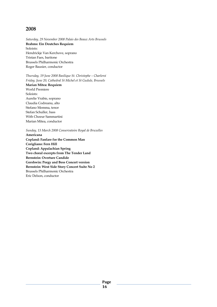*Saturday, 29 November 2008 Palais des Beaux Arts Brussels*  **Brahms: Ein Deutches Requiem**  Soloists: Hendrickje Van Kerchove, soprano Tristan Faes, baritone Brussels Philharmonic Orchestra Roger Bausier, conductor

*Thursday, 19 June 2008 Basilique St. Christophe – Charleroi Friday, June 20, Cathedral St Michel et St Gudule, Brussels* 

**Marian Mitea: Requiem**  World Premiere Soloists: Aurelie Vrabie, soprano Claudia Codreanu, alto Stefano Memma, tenor Stefan Schuller, bass With Choeur Sammartini Marian Mitea, conductor

*Sunday, 13 March 2008 Conservatoire Royal de Bruxelles* 

**Americana Copland: Fanfare for the Common Man Corigliano: Fern Hill Copland: Appalachian Spring Two choral excerpts from The Tender Land Bernstein: Overture Candide Gershwin: Porgy and Bess Concert version Bernstein: West Side Story Concert Suite No 2**  Brussels Philharmonic Orchestra Eric Delson, conductor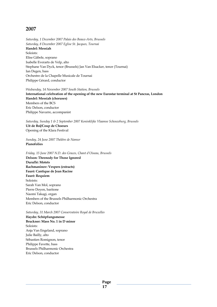*Saturday, 1 December 2007 Palais des Beaux-Arts, Brussels Saturday, 8 December 2007 Eglise St. Jacques, Tournai*  **Handel: Messiah**  Soloists: Elise Gäbele, soprano Isabelle Everarts de Velp, alto Stephane Van Dyck, tenor (Brussels) Jan Van Elsacker, tenor (Tournai) Ian Degen, bass Orchestre de la Chapelle Musicale de Tournai Philippe Gérard, conductor

*Wednesday, 14 November 2007 South Station, Brussels*  **International celebration of the opening of the new Eurostar terminal at St Pancras, London Handel: Messiah (choruses)**  Members of the BCS Eric Delson, conductor Philippe Navarre, accompanist

*Saturday, Sunday 1 & 2 September 2007 Koninklijke Vlaamse Schouwburg, Brussels*  **Uit de Bol/Coup de Choeurs**  Opening of the Klara Festival

*Sunday, 24 June 2007 Théâtre de Namur*  **Pianofolies** 

*Friday, 15 June 2007 N.D. des Graces, Chant d'Oiseau, Brussels*  **Delson: Threnody for Those Ignored Duruflé: Motets Rachmaninov: Vespers (extracts) Fauré: Cantique de Jean Racine Fauré: Requiem**  Soloists: Sarah Van Mol, soprano Pierre Doyen, baritone Naomi Takagi, organ Members of the Brussels Philharmonic Orchestra Eric Delson, conductor

*Saturday, 31 March 2007 Conservatoire Royal de Bruxelles*  **Haydn: Schöpfungsmesse Bruckner: Mass No. 1 in D minor**  Soloists: Anja Van Engeland, soprano Julie Bailly, alto Sébastien Romignon, tenor Philippe Favette, bass Brussels Philharmonic Orchestra Eric Delson, conductor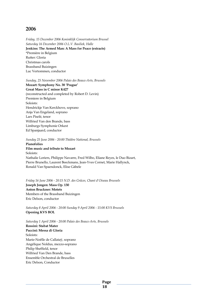*Friday, 15 December 2006 Koninklijk Conservatorium Brussel Saturday 16 December 2006 O.L.V. Basiliek, Halle*  **Jenkins: The Armed Man: A Mass for Peace (extracts)**  \*Première in Belgium Rutter: Gloria Christmas carols Brassband Buizingen Luc Vertommen, conductor

*Sunday, 25 November 2006 Palais des Beaux-Arts, Brussels* 

**Mozart: Symphony No. 38 'Prague' Great Mass in C minor K427**  (reconstructed and completed by Robert D. Levin) Premiere in Belgium Soloists: Hendrickje Van Kerckhove, soprano Anja Van Engeland, soprano Lars Piselé, tenor Wilfried Van den Brande, bass Limburgs Symphonie Orkest Ed Spanjaard, conductor

*Sunday 25 June 2006 - 20:00 Théâtre National, Brussels* 

**Pianofolies Film music and tribute to Mozart**  Soloists: Nathalie Loriers, Philippe Navarre, Fred Wilbo, Eliane Reyes, le Duo Bizart, Pierre Brunello, Laurent Beeckmans, Jean-Yves Cornet, Marie Hallynck, Ronald Van Spaendonck, Elise Gäbele

*Friday 16 June 2006 - 20:15 N.D. des Grâces, Chant d'Oiseau Brussels*  **Joseph Jongen: Mass Op. 130 Anton Bruckner: Motets**  Members of the Brassband Buizingen Eric Delson, conductor

*Saturday 8 April 2006 - 20:00 Sunday 9 April 2006 - 15:00 KVS Brussels*  **Opening KVS BOL** 

*Saturday 1 April 2006 - 20:00 Palais des Beaux-Arts, Brussels*  **Rossini: Stabat Mater Puccini: Messa di Gloria**  Soloists: Marie-Noëlle de Callataÿ, soprano Angélique Noldus, mezzo-soprano Philip Sheffield, tenor Wilfried Van Den Brande, bass Ensemble Orchestral de Bruxelles Eric Delson, Conductor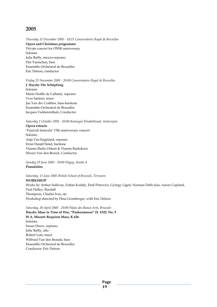*Thursday 15 December 2005 - 18:15 Conservatoire Royal de Bruxelles*  **Opera and Christmas programme**  Private concert for ONSS anniversary Soloists: Julie Bailly, mezzo-soprano Piet Vansichen, bass Ensemble Orchestral de Bruxelles Eric Delson, conductor

#### *Friday 25 November 2005 - 20:00 Conservatoire Royal de Bruxelles*

**J. Haydn: Die Schöpfung**  Soloists: Marie-Noëlle de Callataÿ, soprano Yves Saelens, tenor Jan Van der Crabben, bass-baritone Ensemble Orchestral de Bruxelles Jacques Vanherenthals, Conductor

# *Saturday 1 October 2005 - 20:00 Koningin Elisabethzaal, Antwerpen*

**Opera extracts**  "Funiculi funicula" 15th anniversary concert Soloists: Anja Van Engeland, soprano Ernst Daniël Smid, baritone Vlaams Radio Orkest & Vlaams Radiokoor Silveer Van den Broeck, Conductor

*Sunday 19 June 2005 - 20:00 Flagey, Studio 4*  **Pianofolies** 

*Saturday, 11 June 2005 British School of Brussels, Tervuren*  **WORKSHOP**  Works by Arthur Sullivan, Zoltán Kodály, Emil Petrovics, György Ligeti, Norman Dello Joio, Aaron Copland, Paul Halley, Randall Thompson, Charles Ives, etc. Workshop directed by Dina Grossberger, with Eric Delson

*Saturday, 30 April 2005 - 20:00 Palais des Beaux-Arts, Brussels*  **Haydn: Mass in Time of War, "Paukenmesse" H. XXII, No. 9 W.A. Mozart: Requiem Mass, K 626**  Soloists: Susan Duwe, soprano Julie Bailly, alto Robert Luts, tenor Wilfried Van den Brande, bass Ensemble Orchestral de Bruxelles Conductor: Eric Delson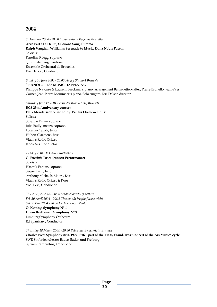*8 December 2004 - 20:00 Conservatoire Royal de Bruxelles* 

**Arvo Pärt : Te Deum, Silouans Song, Summa Ralph Vaughan Williams: Serenade to Music, Dona Nobis Pacem**  Soloists: Karolina Rüegg, soprano Quirijn de Lang, baritone Ensemble Orchestral de Bruxelles Eric Delson, Conductor

*Sunday 20 June 2004 - 20.00 Flagey Studio 4 Brussels* 

#### **"PIANOFOLIES" MUSIC HAPPENING**

Philippe Navarre & Laurent Beeckmans piano, arrangement Bernadette Malter, Pierre Brunello, Jean-Yves Cornet, Jean-Pierre Mommaerts piano. Solo singers. Eric Delson director.

*Saturday June 12 2004 Palais des Beaux-Arts, Brussels* 

**BCS 25th Anniversary concert Felix Mendelssohn-Bartholdy: Paulus Oratorio Op. 36**  Solists: Susanne Duwe, soprano Julie Bailly, mezzo-soprano Lorenzo Carola, tenor Hubert Claessens, bass Vlaams Radio Orkest Janos Acs, Conductor

#### *29 May 2004 De Doelen Rotterdam*  **G. Puccini: Tosca (concert Performance)**  Soloists: Hasmik Papian, soprano Sergei Larin, tenor Anthony Michaels-Moore, Bass Vlaams Radio Orkest & Koor Yoel Levi, Conductor

*Thu.29 April 2004 -20:00 Stadsschouwburg Sittard Fri. 30 April 2004 - 20:15 Theater a/h Vrijthof Maastricht Sat. 1 May 2004 - 20:00 De Maaspoort Venlo*  **O. Ketting: Symphony N° 1 L. van Beethoven: Symphony N° 9**  Limburg Symphony Orchestra Ed Spanjaard, Conductor

*Thursday 18 March 2004 - 20:30 Palais des Beaux-Arts, Brussels*  **Charles Ives: Symphony nr 4, 1909-1916 – part of the 'Haas, Staud, Ives' Concert of the Ars Musica cycle**  SWR Sinfonieorchester Baden-Baden und Freiburg Sylvain Cambreling, Conductor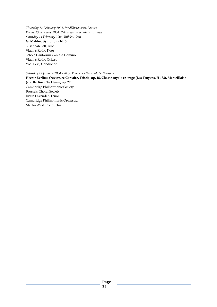*Thursday 12 February 2004, Predikherenkerk, Leuven Friday 13 February 2004, Palais des Beaux-Arts, Brussels Saturday 14 February 2004, Bijloke, Gent* 

**G. Mahler: Symphony N° 3** 

Susannah Self, Alto Vlaams Radio Koor Schola Cantorum Cantate Domino Vlaams Radio Orkest Yoel Levi, Conductor

*Saturday 17 January 2004 - 20:00 Palais des Beaux-Arts, Brussels* 

**Hector Berlioz: Ouverture Corsaire, Tristia, op. 18, Chasse royale et orage (Les Troyens, H 133), Marseillaise (arr. Berlioz), Te Deum, op. 22**  Cambridge Philharmonic Society Brussels Choral Society Justin Lavender, Tenor Cambridge Philharmonic Orchestra Martin West, Conductor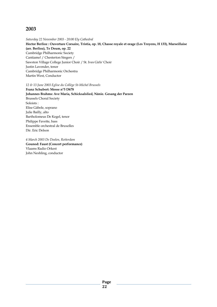*Saturday 22 November 2003 - 20:00 Ely Cathedral*  **Hector Berlioz : Ouverture Corsaire, Tristia, op. 18, Chasse royale et orage (Les Troyens, H 133), Marseillaise (arr. Berlioz), Te Deum, op. 22**  Cambridge Philharmonic Society Cantiamo! / Chesterton Singers / Sawston Village College Junior Choir / St. Ives Girls' Choir Justin Lavender, tenor Cambridge Philharmonic Orchestra Martin West, Conductor

*12 & 13 June 2003 Eglise du Collège St-Michel Brussels* 

**Franz Schubert: Messe n°5 D678 Johannes Brahms: Ave Maria, Schicksalslied, Nänie. Gesang der Parzen**  Brussels Choral Society Soloists : Elise Gäbele, soprano Julie Bailly, alto Bartholomeus De Kegel, tenor Philippe Favette, bass Ensemble orchestral de Bruxelles Dir. Eric Delson

*4 March 2003 De Doelen, Rotterdam*  **Gounod: Faust (Concert performance)**  Vlaams Radio Orkest John Neshling, conductor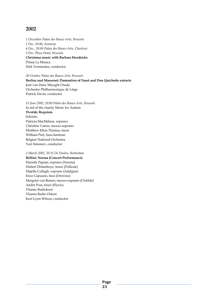*1 December Palais des Beaux-Arts, Brussels 2 Dec. 20.00, Antwerp 4 Dec., 20.00 Palais des Beaux-Arts, Charleroi 5 Dec. Plaza Hotel, Brussels* **Christmas music with Barbara Hendricks**  Prima La Musica Dirk Vermeulen, conductor

*30 October Palais des Beaux-Arts, Brussels* **Berlioz and Massenet: Damnation of Faust and Don Quichotte extracts**  José van Dam, Miyaghi Osada Orchestre Philharmonique de Liège Patrick Davin, conductor

*15 June 2002, 20.00 Palais des Beaux-Arts, Brussels*  In aid of the charity Music for Autism **Dvořák: Requiem**  Soloists: Patricia MacMahon, soprano Christine Cairns, mezzo-soprano Matthew Elton Thomas, tenor William Peel, bass-baritone Belgian National Orchestra Yuri Simonov, conductor

*1 March 2002, 20.15 De Doelen, Rotterdam*  **Bellini: Norma (Concert Performance)**  Hasmik Papian, soprano (Norma) Hubert Delamboye, tenor (Pollione) Majella Cullagh, soprano (Adalgisa) Enzo Capuano, bass (Oroveso) Margriet van Reisen, mezzo-soprano (Clotilde) André Post, tenor (Flavio) Vlaams Radiokoor Vlaams Radio Orkest Keri-Lynn Wilson, conductor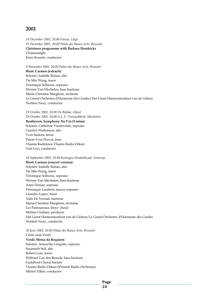*14 December 2001, 20.00 Forum, Liège 15 December 2001, 20.00 Palais des Beaux-Arts, Brussels*  **Christmas programme with Barbara Hendricks**  I Fiamminghi Koen Kessels, conductor

*9 November 2001, 20.00 Palais des Beaux-Arts, Brussels*  **Bizet: Carmen (extracts)**  Soloists: Isabelle Ruban, alto Tie Min Wang, tenor Véronique Solhosse, soprano Werner Van Mechelen, bass-baritone Marie-Christine Marghem, récitante Le Grand Orchestre d'Harmonie des Guides/Het Groot Harmonieorkest van de Gidsen Norbert Nozy, conductor

*19 October 2001, 20.00 De Bijloke, Ghent 18 October 2001, 20.00 O.L.V.-Ternoodtkerk, Merchtem*  **Beethoven: Symphony No 9 in D minor**  Soloists: Cathérine Vandevelde, soprano Carolyn Watkinson, alto Yves Saelens, tenor Pierre-Yves Pruvot, bass Vlaams Radiokoor Vlaams Radio Orkest Yoel Levi, conductor

*28 September 2001, 20.00 Koningin Elisabethzaal, Antwerp*  **Bizet: Carmen (concert version)**  Soloists: Isabelle Ruban, alto Tie Min Wang, tenor Véronique Solhosse, soprano Werner Van Mechelen, bass-baritone Anne Dorian, soprano Véronique Lambert, mezzo-soprano Léandro Lopez, tenor Aldo De Vernati, baritone Marie-Christine Marghem, récitante Les Pastoureaux (boys' choir) Stefano Giuliani, producer Het Groot Harmonieorkest van de Gidsen/Le Grand Orchestre d'Harmonie des Guides Norbert Nozy, conductor

*30 June 2001, 20.00 Palais des Beaux-Arts, Brussels* 

#### Cento anni Verdi

**Verdi: Messa da Requiem**  Soloists: Amaryllis Grégoire, soprano Susannah Self, alto Robert Luts, tenor Wilfried Van den Brande, bass baritone Guildford Choral Society Vlaams Radio Orkest (Flemish Radio Orchestra) Michel Tilkin, conductor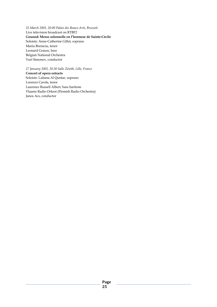*25 March 2001, 20.00 Palais des Beaux-Arts, Brussels*  Live television broadcast on RTBF2 **Gounod: Messe solennelle en l'honneur de Sainte-Cécile**  Soloists: Anne-Catherine Gillet, soprano Mariu Brensciu, tenor Leonard Grauss, bass Belgian National Orchestra Yuri Simonov, conductor

*27 January 2001, 20.30 Salle Zénith, Lille, France* 

**Concert of opera extracts**  Soloists: Lubana Al Quntar, soprano Lorenzo Carola, tenor Laurence Russell Albert, bass baritone Vlaams Radio Orkest (Flemish Radio Orchestra) Janos Acs, conductor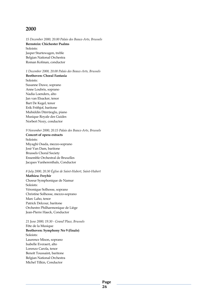*15 December 2000, 20.00 Palais des Beaux-Arts, Brussels*  **Bernstein: Chichester Psalms**  Soloists: Jasper Sturtewagen, treble Belgian National Orchestra Roman Kofman, conductor

*1 December 2000, 20.00 Palais des Beaux-Arts, Brussels*  **Beethoven: Choral Fantasia**  Soloists: Susanne Duwe, soprano Anne Loubris, soprano Nadia Loenders, alto Jan van Elsacker, tenor Bart De Kegel, tenor Erik Frithjof, baritone Muhiddin Dürrüoglu, piano Musique Royale des Guides Norbert Nozy, conductor

*9 November 2000, 20.15 Palais des Beaux-Arts, Brussels*  **Concert of opera extracts**  Soloists: Miyaghi Osada, mezzo-soprano José Van Dam, baritone Brussels Choral Society Ensemble Orchestral de Bruxelles Jacques Vanherenthals, Conductor

*8 July 2000, 20.30 Église de Saint-Hubert, Saint-Hubert* 

**Mathieu: Freyhir**  Choeur Symphonique de Namur Soloists: Véronique Solhosse, soprano Christine Solhosse, mezzo-soprano Marc Laho, tenor Patrick Delcour, baritone Orchestre Philharmonique de Liège Jean-Pierre Haeck, Conductor

*21 June 2000, 19.30 - Grand'Place, Brussels*  Fête de la Musique **Beethoven: Symphony No 9 (finale)** 

Soloists: Laurence Mison, soprano Isabelle Everaert, alto Lorenzo Carola, tenor Benoît Toussaint, baritone Belgian National Orchestra Michel Tilkin, Conductor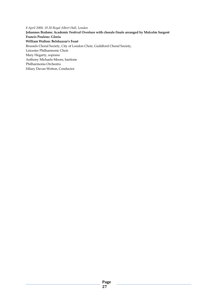*8 April 2000, 19.30 Royal Albert Hall, London*  **Johannes Brahms: Academic Festival Overture with chorale finale arranged by Malcolm Sargent Francis Poulenc: Gloria William Walton: Belshazzar's Feast**  Brussels Choral Society, City of London Choir, Guildford Choral Society, Leicester Philharmonic Choir Mary Hegarty, soprano Anthony Michaels-Moore, baritone Philharmonia Orchestra Hilary Davan Wetton, Conductor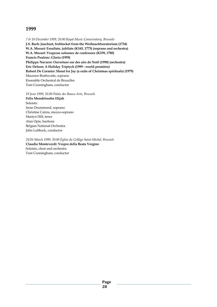*7 & 10 December 1999, 20.00 Royal Music Conservatory, Brussels*  **J.S. Bach: Jauchzet, frohlocket from the Weihnachtsoratorium (1734) W.A. Mozart: Exsultate, jubilate (K165, 1773) (soprano and orchestra) W.A. Mozart: Vesperae solennes de confessore (K339, 1780) Francis Poulenc: Gloria (1959) Philippe Navarre: Ouverture sur des airs de Noël (1990) (orchestra) Eric Delson: A Holiday Triptych (1999 - world première) Robert De Cormier: Shout for Joy (a suite of Christmas spirituals) (1979)**  Maureen Brathwaite, soprano Ensemble Orchestral de Bruxelles Tom Cunningham, conductor

*19 June 1999, 20.00 Palais des Beaux-Arts, Brussels* 

**Felix Mendelssohn Elijah**  Soloists: Irene Drummond, soprano Christine Cairns, mezzo-soprano Martyn Hill, tenor Alan Opie, baritone Belgian National Orchestra John Lubbock, conductor

*25/26 March 1999, 20.00 Église du Collège Saint-Michel, Brussels*  **Claudio Monteverdi: Vespro della Beata Vergine**  Soloists, choir and orchestra Tom Cunningham, conductor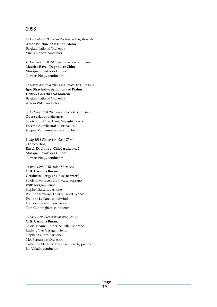*13 December 1998 Palais des Beaux-Arts, Brussels*  **Anton Bruckner: Mass in F Minor**  Belgian National Orchestra Yuri Simonov, conductor

*4 December 1998 Palais des Beaux-Arts, Brussels*  **Maurice Ravel: Daphnis et Chloé**  Musique Royale des Guides Norbert Nozy, conductor

*21 November 1998 Palais des Beaux-Arts, Brussels*  **Igor Stravinsky: Symphony of Psalms Henryk Gorecki : Ad Matrem**  Belgian National Orchestra Antoni Wit, Conductor

*30 October 1998 Palais des Beaux-Arts, Brussels*  **Opera arias and choruses**  Soloists: José Van Dam, Miyaghi Osada Ensemble Orchestral de Bruxelles Jacques Vanherenthals, conductor

*9 July 1998 Studio Steurbaut Ghent*  CD recording **Ravel: Daphnis et Chloé (suite no. 2)**  Musique Royale des Guides Norbert Nozy, conductor

*26 June 1998 VUB Aula Q Brussels* 

**Orff: Carmina Burana Gershwin: Porgy and Bess (extracts)**  Soloists: Maureen Brathwaite, soprano Wills Morgan, tenor Stephen Salters, baritone Philippe Navarre, Thierry Fiévet, pianos Philippe Leblanc, woodwind Louison Renault, percussion Tom Cunningham, conductor

*20 May 1998 Stadsschouwburg Leuven* 

**Orff: Carmina Burana**  Soloists: Anne-Catherine Gillet, soprano Ludwig Van Gijsegem, tenor Stephen Salters, baritone Mol Percussion Orchestra Catherine Mertens, Marc Caluwaerts, pianos Jan Valach, conductor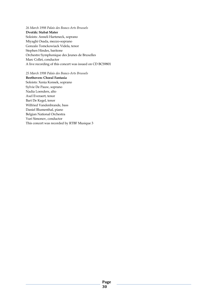*26 March 1998 Palais des Beaux-Arts Brussels*  **Dvořák: Stabat Mater**  Soloists: Anneli Harteneck, soprano Miyaghi Osada, mezzo-soprano Gonzalo Tomckowiack Videla, tenor Stephen Hindes, baritone Orchestre Symphonique des Jeunes de Bruxelles Marc Collet, conductor A live recording of this concert was issued on CD BCS9801

*25 March 1998 Palais des Beaux-Arts Brussels*  **Beethoven: Choral Fantasia**  Soloists: Xenia Konsek, soprano Sylvie De Pauw, soprano Nadia Loenders, alto Axel Everaert, tenor Bart De Kegel, tenor Wilfried Vandenbrande, bass Daniel Blumenthal, piano Belgian National Orchestra Yuri Simonov, conductor This concert was recorded by RTBF Musique 3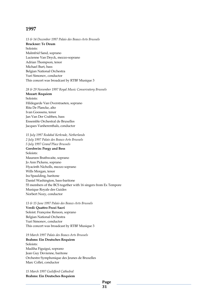*13 & 14 December 1997 Palais des Beaux-Arts Brussels*  **Bruckner: Te Deum**  Soloists: Malmfrid Sand, soprano Lucienne Van Deyck, mezzo-soprano Adrian Thompson, tenor Michael Burt, bass Belgian National Orchestra Yuri Simonov, conductor This concert was broadcast by RTBF Musique 3

#### *28 & 29 November 1997 Royal Music Conservatory Brussels*

**Mozart: Requiem**  Soloists: Hildegarde Van Overstraeten, soprano Rita De Plancke, alto Ivan Goossens, tenor Jan Van Der Crabben, bass Ensemble Orchestral de Bruxelles Jacques Vanherenthals, conductor

*15 July 1997 Rodahal Kerkrade, Netherlands 2 July 1997 Palais des Beaux-Arts Brussels 5 July 1997 Grand'Place Brussels* 

**Gershwin: Porgy and Bess**  Soloists: Maureen Brathwaite, soprano Jo Ann Pickens, soprano Hyacinth Nicholls, mezzo soprano Wills Morgan, tenor Ira Spaulding, baritone Daniel Washington, bass-baritone 55 members of the BCS together with 16 singers from Ex Tempore Musique Royale des Guides Norbert Nozy, conductor

*13 & 15 June 1997 Palais des Beaux-Arts Brussels*  **Verdi: Quattro Pezzi Sacri**  Soloist: Françoise Renson, soprano Belgian National Orchestra Yuri Simonov, conductor This concert was broadcast by RTBF Musique 3

*19 March 1997 Palais des Beaux-Arts Brussels*  **Brahms: Ein Deutsches Requiem**  Soloists: Madiha Figuigui, soprano Jean Guy Devienne, baritone Orchestre Symphonique des Jeunes de Bruxelles Marc Collet, conductor

*15 March 1997 Guildford Cathedral*  **Brahms: Ein Deutsches Requiem**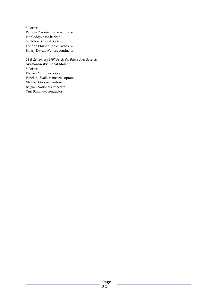Soloists: Patricia Rozario, mezzo-soprano Ian Caddy, bass-baritone Guildford Choral Society London Philharmonic Orchestra Hilary Davan Wetton, conductor

*24 & 26 January 1997 Palais des Beaux-Arts Brussels*  **Szymanowski: Stabat Mater**  Soloists: Elzbieta Szmytka, soprano Penelope Walker, mezzo-soprano Michael George, baritone Belgian National Orchestra Yuri Simonov, conductor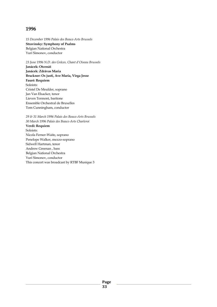*15 December 1996 Palais des Beaux-Arts Brussels*  **Stravinsky: Symphony of Psalms**  Belgian National Orchestra Yuri Simonov, conductor

*23 June 1996 N.D. des Grâces, Chant d'Oiseau Brussels* 

**Janácek: Otcenáš Janácek: Zdrávas Maria Bruckner: Os justi, Ave Maria, Virga Jesse Fauré: Requiem**  Soloists: Cristel De Meulder, soprano Jan Van Elsacker, tenor Lieven Termont, baritone Ensemble Orchestral de Bruxelles Tom Cunningham, conductor

*29 & 31 March 1996 Palais des Beaux-Arts Brussels 30 March 1996 Palais des Beaux-Arts Charleroi*  **Verdi: Requiem**  Soloists: Nicola Ferner-Waite, soprano Penelope Walker, mezzo-soprano Sidwell Hartman, tenor Andrew Greenan , bass Belgian National Orchestra Yuri Simonov, conductor This concert was broadcast by RTBF Musique 3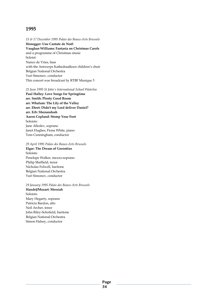*15 & 17 December 1995 Palais des Beaux-Arts Brussels*  **Honegger: Une Cantate de Noël Vaughan Williams: Fantasia on Christmas Carols**  and a programme of Christmas music Soloist: Nanco de Vries, bass with the Antwerps Kathedraalkoor children's choir Belgian National Orchestra Yuri Simonov, conductor This concert was broadcast by RTBF Musique 3

#### *25 June 1995 St John's International School Waterloo*

**Paul Halley: Love Songs for Springtime arr. Smith: Plenty Good Room arr. Whalum: The Lily of the Valley arr. Ehret: Didn't my Lord deliver Daniel? arr. Erb: Shenandoah Aaron Copland: Stomp Your Foot**  Soloists: Jane Alleslev, soprano Janet Hughes, Fiona White, piano Tom Cunningham, conductor

#### *29 April 1995 Palais des Beaux-Arts Brussels*

**Elgar: The Dream of Gerontius**  Soloists: Penelope Walker, mezzo-soprano Philip Sheffield, tenor Nicholas Folwell, baritone Belgian National Orchestra Yuri Simonov, conductor

*29 January 1995 Palais des Beaux-Arts Brussels*  **Handel/Mozart: Messiah**  Soloists: Mary Hegarty, soprano Patricia Bardon, alto Neil Archer, tenor John Riley-Schofield, baritone Belgian National Orchestra Simon Halsey, conductor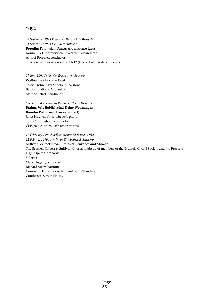*23 September 1994 Palais des Beaux-Arts Brussels 24 September 1994 De Singel Antwerp*  **Borodin: Polovtsian Dances (from Prince Igor)**  Koninklijk Filharmonisch Orkest van Vlaanderen Andrei Boreyko, conductor This concert was recorded by BRT3 (Festival of Flanders concert)

*11 June 1994 Palais des Beaux-Arts Brussels*  **Walton: Belshazzar's Feast**  Soloist: John Riley-Schofield, baritone Belgian National Orchestra Marc Soustrot, conductor

*6 May 1994 Théâtre du Résidence Palace Brussels*  **Brahms Wie lieblich sind Deine Wohnungen Borodin Polovtsian Dances (extract)**  Janet Hughes, Alison Stroud, piano Tom Cunningham, conductor CHS gala concert, with other groups

*11 February 1994 Zuidlaantheater Terneuzen (NL) 12 February 1994 Koningin Elisabethzaal Antwerp*  **Sullivan: extracts from Pirates of Penzance and Mikado**  The Brussels Gilbert & Sullivan Chorus made up of members of the Brussels Choral Society and the Brussels Light Opera Company Soloists: Mary Hegarty, soprano Richard Suart, baritone Koninklijk Filharmonisch Orkest van Vlaanderen Conductor: Simon Halsey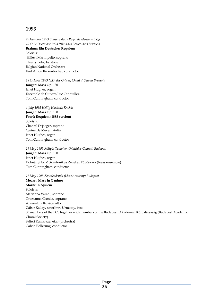*9 December 1993 Conservatoire Royal de Musique Liège 10 & 12 December 1993 Palais des Beaux-Arts Brussels*  **Brahms: Ein Deutsches Requiem**  Soloists: Hillevi Martinpelto, soprano Thierry Félix, baritone Belgian National Orchestra Karl Anton Rickenbacher, conductor

*18 October 1993 N.D. des Grâces, Chant d'Oiseau Brussels* 

**Jongen: Mass Op. 130**  Janet Hughes, organ Ensemble de Cuivres Luc Capouillez Tom Cunningham, conductor

*4 July 1993 Heilig Hartkerk Knokke* 

**Jongen: Mass Op. 130 Fauré: Requiem (1888 version)**  Soloists: Chantal Dejaeger, soprano Carine De Meyer, violin Janet Hughes, organ Tom Cunningham, conductor

*19 May 1993 Mátyás Templom (Matthias Church) Budapest*  **Jongen: Mass Op. 130**  Janet Hughes, organ Dohnányi Ernö Szimfonikus Zenekar Fúvóskara (brass ensemble) Tom Cunningham, conductor

*17 May 1993 Zeneakadémia (Liszt Academy) Budapest* 

**Mozart: Mass in C minor Mozart: Requiem**  Soloists: Marianna Váradi, soprano Zsuzsanna Csonka, soprano Annamária Kovács, alto Gábor Kállay, tenorImre Ürmössy, bass 80 members of the BCS together with members of the Budapesti Akadémiai Kórustársaság (Budapest Academic Choral Society) Salieri Kamarazenekar (orchestra) Gábor Hollerung, conductor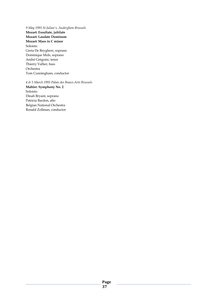*9 May 1993 St Julian's, Auderghem Brussels*  **Mozart: Exsultate, jubilate Mozart: Laudate Dominum Mozart: Mass in C minor**  Soloists: Greta De Reyghere, soprano Dominique Mols, soprano André Grégoire, tenor Thierry Vallier, bass Orchestra Tom Cunningham, conductor

*4 & 5 March 1993 Palais des Beaux-Arts Brussels*  **Mahler: Symphony No. 2**  Soloists: Dinah Bryant, soprano Patricia Bardon, alto Belgian National Orchestra Ronald Zollman, conductor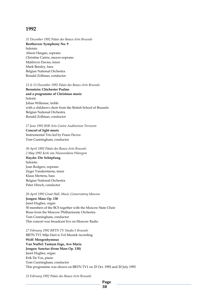*31 December 1992 Palais des Beaux-Arts Brussels*  **Beethoven: Symphony No. 9**  Soloists: Alison Hargan, soprano Christine Cairns, mezzo-soprano Maldwyn Davies, tenor Mark Beesley, bass Belgian National Orchestra Ronald Zollman, conductor

#### *12 & 13 December 1992 Palais des Beaux-Arts Brussels*

**Bernstein: Chichester Psalms and a programme of Christmas music**  Soloist: Johan Willemse, treble with a children's choir from the British School of Brussels Belgian National Orchestra Ronald Zollman, conductor

#### *27 June 1992 BSB Arts Centre Auditorium Tervuren*

**Concert of light music**  Instrumental Trio led by Franz Fievez Tom Cunningham, conductor

*30 April 1992 Palais des Beaux-Arts Brussels 2 May 1992 Kerk van Nieuwenhove Waregem*  **Haydn: Die Schöpfung**  Soloists: Joan Rodgers, soprano Zeger Vandersteene, tenor Klaus Mertens, bass Belgian National Orchestra Peter Hirsch, conductor

#### *20 April 1992 Great Hall, Music Conservatory Moscow*

**Jongen: Mass Op. 130**  Janet Hughes, organ 50 members of the BCS together with the Moscow State Choir Brass from the Moscow Philharmonic Orchestra Tom Cunningham, conductor This concert was broadcast live on Moscow Radio

#### *27 February 1992 BRTN TV Studio 5 Brussels*

BRTN TV1 Mijn Hart is Vol Muziek recording **Wolf: Morgenhymnus Van Nuffel: Tantum Ergo, Ave Maria Jongen: Sanctus (from Mass Op. 130)**  Janet Hughes, organ Erik De Vos, piano Tom Cunningham, conductor This programme was shown on BRTN TV1 on 25 Oct. 1992 and 20 July 1993

*23 February 1992 Palais des Beaux-Arts Brussels*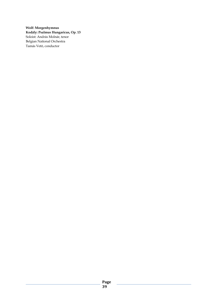**Wolf: Morgenhymnus Kodály: Psalmus Hungaricus, Op. 13**  Soloist: András Molnár, tenor Belgian National Orchestra Tamás Vetö, conductor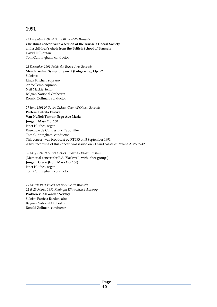*22 December 1991 N.D. du Blankedelle Brussels*  **Christmas concert with a section of the Brussels Choral Society and a children's choir from the British School of Brussels**  David Iliff, organ Tom Cunningham, conductor

*15 December 1991 Palais des Beaux-Arts Brussels*  **Mendelssohn: Symphony no. 2 (Lobgesang), Op. 52**  Soloists: Linda Kitchen, soprano An Willems, soprano Neil Mackie, tenor Belgian National Orchestra Ronald Zollman, conductor

*27 June 1991 N.D. des Grâces, Chant d'Oiseau Brussels* 

**Peeters: Entrata Festival Van Nuffel: Tantum Ergo Ave Maria Jongen: Mass Op. 130**  Janet Hughes, organ Ensemble de Cuivres Luc Capouillez Tom Cunningham, conductor This concert was broadcast by RTBF3 on 8 September 1991 A live recording of this concert was issued on CD and cassette: Pavane ADW 7242

*30 May 1991 N.D. des Grâces, Chant d'Oiseau Brussels*  (Memorial concert for E.A. Blackwell, with other groups) **Jongen: Credo (from Mass Op. 130)**  Janet Hughes, organ Tom Cunningham, conductor

*19 March 1991 Palais des Beaux-Arts Brussels 22 & 23 March 1991 Koningin Elisabethzaal Antwerp*  **Prokofiev: Alexander Nevsky**  Soloist: Patricia Bardon, alto Belgian National Orchestra Ronald Zollman, conductor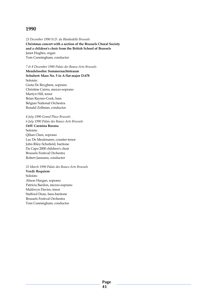*23 December 1990 N.D. du Blankedelle Brussels*  **Christmas concert with a section of the Brussels Choral Society and a children's choir from the British School of Brussels**  Janet Hughes, organ Tom Cunningham, conductor

*7 & 8 December 1990 Palais des Beaux-Arts Brussels*  **Mendelssohn: Sommernachtstraum Schubert: Mass No. 5 in A flat major D.678**  Soloists: Greta De Reyghere, soprano Christine Cairns, mezzo-soprano Martyn Hill, tenor Brian Rayner-Cook, bass Belgian National Orchestra Ronald Zollman, conductor

*4 July 1990 Grand'Place Brussels 6 July 1990 Palais des Beaux-Arts Brussels*  **Orff: Carmina Burana**  Soloists: Qilian Chen, soprano Luc De Meulenaere, counter-tenor John Riley-Schofield, baritone Da Capo 2000 children's choir Brussels Festival Orchestra Robert Janssens, conductor

*25 March 1990 Palais des Beaux-Arts Brussels*  **Verdi: Requiem**  Soloists: Alison Hargan, soprano Patricia Bardon, mezzo-soprano Maldwyn Davies, tenor Stafford Dean, bass-baritone Brussels Festival Orchestra Tom Cunningham, conductor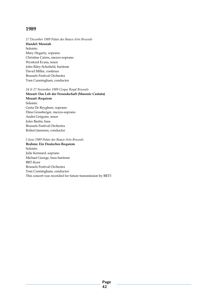*17 December 1989 Palais des Beaux-Arts Brussels*  **Handel: Messiah**  Soloists: Mary Hegarty, soprano Christine Cairns, mezzo-soprano Wynford Evans, tenor John Riley-Schofield, baritone David Miller, continuo Brussels Festival Orchestra Tom Cunningham, conductor

#### *24 & 27 November 1989 Cirque Royal Brussels*

**Mozart: Das Lob der Freundschaft (Masonic Cantata) Mozart: Requiem**  Soloists: Greta De Reyghere, soprano Dina Grossberger, mezzo-soprano André Grégoire, tenor Jules Bastin, bass Brussels Festival Orchestra Robert Janssens, conductor

*5 June 1989 Palais des Beaux-Arts Brussels* 

**Brahms: Ein Deutsches Requiem**  Soloists: Julie Kennard, soprano Michael George, bass-baritone BRT-Koor Brussels Festival Orchestra Tom Cunningham, conductor This concert was recorded for future transmission by BRT3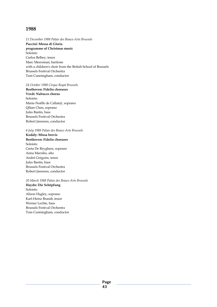*11 December 1988 Palais des Beaux-Arts Brussels*  **Puccini: Messa di Gloria programme of Christmas music**  Soloists: Carlos Belbey, tenor Marc Meersman, baritone with a children's choir from the British School of Brussels Brussels Festival Orchestra Tom Cunningham, conductor

*24 October 1988 Cirque Royal Brussels* 

**Beethoven: Fidelio choruses Verdi: Nabucco chorus**  Soloists: Marie-Noëlle de Callataÿ, soprano Qilian Chen, soprano Jules Bastin, bass Brussels Festival Orchestra Robert Janssens, conductor

*4 July 1988 Palais des Beaux-Arts Brussels*  **Kodály: Missa brevis Beethoven: Fidelio choruses**  Soloists: Greta De Reyghere, soprano Anna Marsilio, alto André Grégoire, tenor Jules Bastin, bass Brussels Festival Orchestra Robert Janssens, conductor

*20 March 1988 Palais des Beaux-Arts Brussels*  **Haydn: Die Schöpfung**  Soloists: Alison Hagley, soprano Karl-Heinz Brandt, tenor Werner Lechte, bass Brussels Festival Orchestra Tom Cunningham, conductor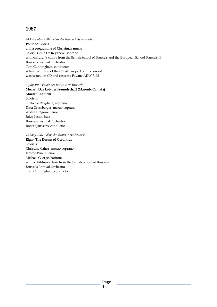*14 December 1987 Palais des Beaux-Arts Brussels*  **Poulenc: Gloria and a programme of Christmas music**  Soloist: Greta De Reyghere, soprano with children's choirs from the British School of Brussels and the European School Brussels II Brussels Festival Orchestra Tom Cunningham, conductor A live recording of the Christmas part of this concert was issued on CD and cassette: Pavane ADW 7193

*6 July 1987 Palais des Beaux-Arts Brussels* 

**Mozart: Das Lob der Freundschaft (Masonic Cantata) Mozart:Requiem**  Soloists: Greta De Reyghere, soprano Dina Grossberger, mezzo-soprano André Grégoire, tenor Jules Bastin, bass Brussels Festival Orchestra Robert Janssens, conductor

*10 May 1987 Palais des Beaux-Arts Brussels*  **Elgar: The Dream of Gerontius**  Soloists: Christine Cairns, mezzo-soprano Jerome Pruett, tenor Michael George, baritone with a children's choir from the British School of Brussels Brussels Festival Orchestra Tom Cunningham, conductor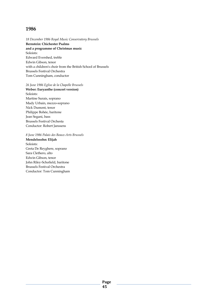*18 December 1986 Royal Music Conservatory Brussels*  **Bernstein: Chichester Psalms and a programme of Christmas music**  Soloists: Edward Evershed, treble Edwin Gibson, tenor with a children's choir from the British School of Brussels Brussels Festival Orchestra Tom Cunningham, conductor

*26 June 1986 Eglise de la Chapelle Brussels* 

**Weber: Euryanthe (concert version)**  Soloists: Martine Surais, soprano Mady Urbain, mezzo-soprano Nick Dumont, tenor Philippe Bohée, baritone Jean Segani, bass Brussels Festival Orchesta Conductor: Robert Janssens

*8 June 1986 Palais des Beaux-Arts Brussels*  **Mendelssohn: Elijah**  Soloists: Greta De Reyghere, soprano Sara Clethero, alto Edwin Gibson, tenor John Riley-Schofield, baritone Brussels Festival Orchestra Conductor: Tom Cunningham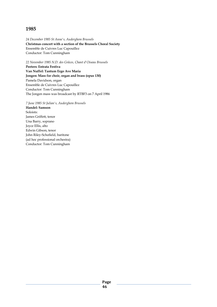*24 December 1985 St Anne's, Auderghem Brussels*  **Christmas concert with a section of the Brussels Choral Society**  Ensemble de Cuivres Luc Capouillez Conductor: Tom Cunningham

*22 November 1985 N.D. des Grâces, Chant d'Oiseau Brussels* 

**Peeters: Entrata Festiva Van Nuffel: Tantum Ergo Ave Maria Jongen: Mass for choir, organ and brass (opus 130)**  Pamela Davidson, organ Ensemble de Cuivres Luc Capouillez Conductor: Tom Cunningham The Jongen mass was broadcast by RTBF3 on 7 April 1986

*7 June 1985 St Julian's, Auderghem Brussels*  **Handel: Samson**  Soloists: James Griffett, tenor Una Barry, soprano Joyce Ellis, alto Edwin Gibson, tenor John Riley-Schofield, baritone (ad hoc professional orchestra) Conductor: Tom Cunningham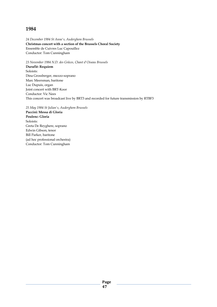*24 December 1984 St Anne's, Auderghem Brussels*  **Christmas concert with a section of the Brussels Choral Society**  Ensemble de Cuivres Luc Capouillez Conductor: Tom Cunningham

*23 November 1984 N.D. des Grâces, Chant d'Oiseau Brussels* 

**Duruflé: Requiem**  Soloists: Dina Grossberger, mezzo-soprano Marc Meersman, baritone Luc Dupuis, organ Joint concert with BRT-Koor Conductor: Vic Nees This concert was broadcast live by BRT3 and recorded for future transmission by RTBF3

*25 May 1984 St Julian's, Auderghem Brussels* 

**Puccini: Messa di Gloria Poulenc: Gloria**  Soloists: Greta De Reyghere, soprano Edwin Gibson, tenor Bill Parker, baritone (ad hoc professional orchestra) Conductor: Tom Cunningham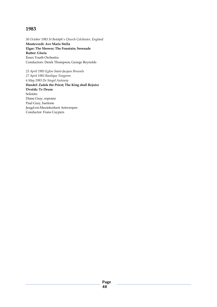*30 October 1983 St Botolph's Church Colchester, England*  **Monteverdi: Ave Maris Stella Elgar: The Shower; The Fountain; Serenade Rutter: Gloria**  Essex Youth Orchestra Conductors: Derek Thompson, George Reynolds

*23 April 1983 Eglise Saint-Jacques Brussels 27 April 1983 Basilique Tongeren 6 May 1983 De Singel Antwerp*  **Handel: Zadok the Priest; The King shall Rejoice Dvořák: Te Deum**  Soloists: Diane Gray, soprano Paul Gray, baritone Jeugd-en-Muziekorkest Antwerpen Conductor: Frans Cuypers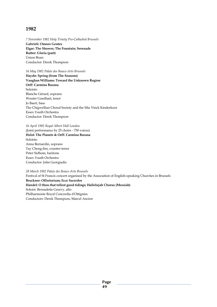*7 November 1982 Holy Trinity Pro-Cathedral Brussels*  **Gabrieli: Omnes Gentes Elgar: The Shower; The Fountain; Serenade Rutter: Gloria (part)**  Union Brass Conductor: Derek Thompson

*16 May 1982 Palais des Beaux-Arts Brussels*  **Haydn: Spring (from The Seasons) Vaughan Williams: Toward the Unknown Region Orff: Carmina Burana**  Soloists: Blanche Gérard, soprano Wouter Goedhart, tenor Jo Baert, bass The Chigwellian Choral Society and the Mia Vinck Kinderkoor Essex Youth Orchestra Conductor: Derek Thompson

#### *16 April 1982 Royal Albert Hall London*

(Joint performance by 25 choirs - 750 voices) **Holst: The Planets & Orff: Carmina Burana**  Soloists: Anna Bernardin, soprano Tay Cheng-Jim, counter-tenor Peter Sidhom, baritone Essex Youth Orchestra Conductor: John Georgiadis

## *28 March 1982 Palais des Beaux-Arts Brussels*

Festival of St Francis concert organised by the Association of English-speaking Churches in Brussels **Bruckner: Offertorium; Ecce Sacerdos Handel: O thou that tellest good tidings; Hallelujah Chorus (Messiah)**  Soloist: Bernadette Greevy, alto Philharmonie Royal Concordia d'Ottignies Conductors: Derek Thompson, Marcel Ancion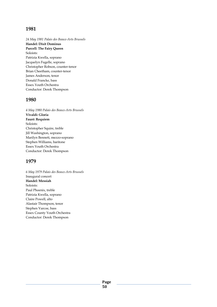*24 May 1981 Palais des Beaux-Arts Brussels*  **Handel: Dixit Dominus Purcell: The Fairy Queen**  Soloists: Patrizia Kwella, soprano Jacquelyn Fugelle, soprano Christopher Robson, counter-tenor Brian Cheetham, counter-tenor James Anderson, tenor Donald Francke, bass Essex Youth Orchestra Conductor: Derek Thompson

## **1980**

*4 May 1980 Palais des Beaux-Arts Brussels*  **Vivaldi: Gloria Fauré: Requiem**  Soloists: Christopher Squire, treble Jill Washington, soprano Marilyn Bennett, mezzo-soprano Stephen Williams, baritone Essex Youth Orchestra Conductor: Derek Thompson

# **1979**

*6 May 1979 Palais des Beaux-Arts Brussels*  Inaugural concert **Handel: Messiah**  Soloists: Paul Phoenix, treble Patrizia Kwella, soprano Claire Powell, alto Alastair Thompson, tenor Stephen Varcoe, bass Essex County Youth Orchestra Conductor: Derek Thompson